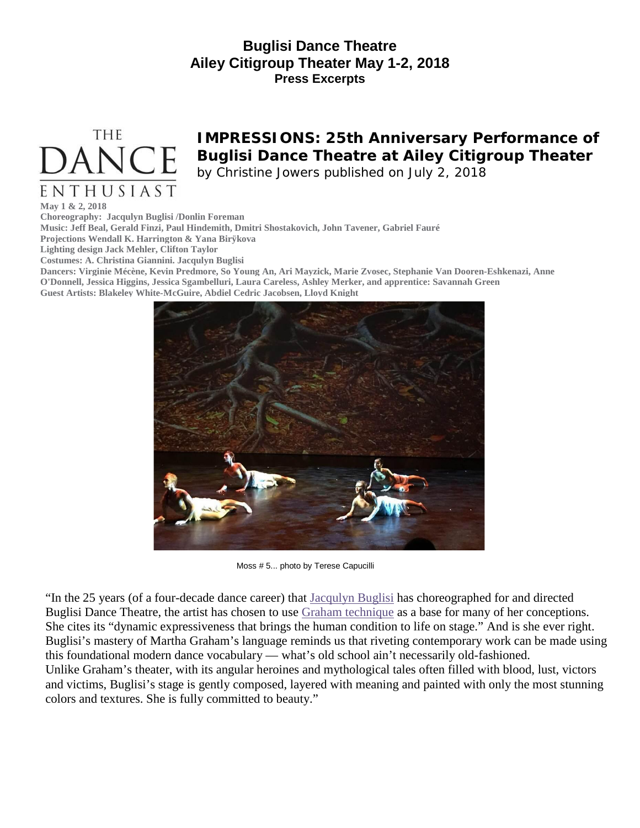## **Buglisi Dance Theatre Ailey Citigroup Theater May 1-2, 2018 Press Excerpts**



# **IMPRESSIONS: 25th Anniversary Performance of Buglisi Dance Theatre at Ailey Citigroup Theater**

*by Christine Jowers published on July 2, 2018*

**May 1 & 2, 2018**

**Choreography: Jacqulyn Buglisi /Donlin Foreman**

**Music: Jeff Beal, Gerald Finzi, Paul Hindemith, Dmitri Shostakovich, John Tavener, Gabriel Fauré**

**Projections Wendall K. Harrington & Yana Birÿkova**

**Lighting design Jack Mehler, Clifton Taylor**

**Costumes: A. Christina Giannini. Jacqulyn Buglisi**

Dancers: Virginie Mécène, Kevin Predmore, So Young An, Ari Mayzick, Marie Zvosec, Stephanie Van Dooren-Eshkenazi, Anne **O'Donnell, Jessica Higgins, Jessica Sgambelluri, Laura Careless, Ashley Merker, and apprentice: Savannah Green Guest Artists: Blakeley White-McGuire, Abdiel Cedric Jacobsen, Lloyd Knight**



Moss # 5... photo by Terese Capucilli

"In the 25 years (of a four-decade dance career) that [Jacqulyn](https://en.wikipedia.org/wiki/Jacqulyn_Buglisi) Buglisi has choreographed for and directed Buglisi Dance Theatre, the artist has chosen to use Graham [technique](http://www.marthagraham.org/history/) as a base for many of her conceptions. She cites its "dynamic expressiveness that brings the human condition to life on stage." And is she ever right. Buglisi's mastery of Martha Graham's language reminds us that riveting contemporary work can be made using this foundational modern dance vocabulary — what's old school ain't necessarily old-fashioned. Unlike Graham's theater, with its angular heroines and mythological tales often filled with blood, lust, victors and victims, Buglisi's stage is gently composed, layered with meaning and painted with only the most stunning colors and textures. She is fully committed to beauty."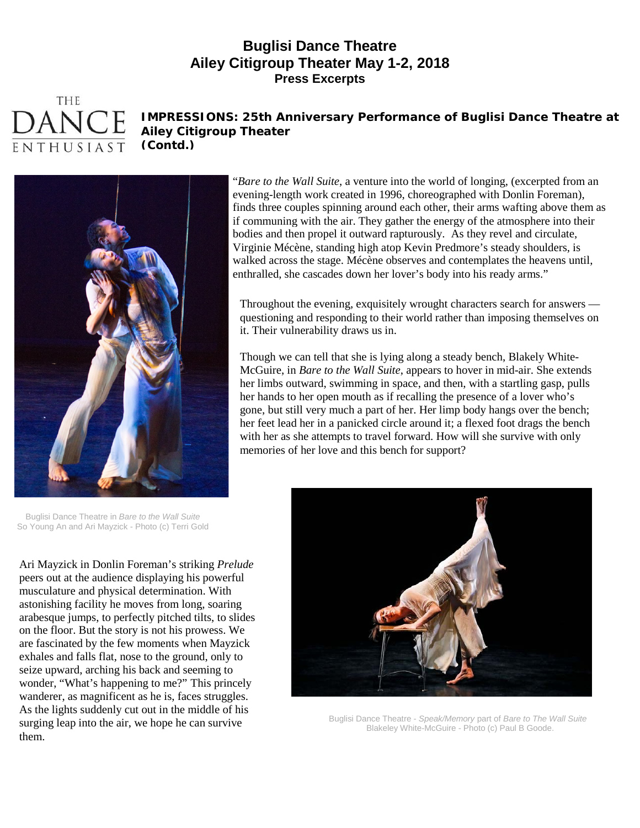#### **Buglisi Dance Theatre Ailey Citigroup Theater May 1-2, 2018 Press Excerpts**



### **IMPRESSIONS: 25th Anniversary Performance of Buglisi Dance Theatre at Ailey Citigroup Theater**

**(Contd.)**



"*Bare to the Wall Suite*, a venture into the world of longing, (excerpted from an evening-length work created in 1996, choreographed with Donlin Foreman), finds three couples spinning around each other, their arms wafting above them as if communing with the air. They gather the energy of the atmosphere into their bodies and then propel it outward rapturously. As they revel and circulate, Virginie Mécène, standing high atop Kevin Predmore's steady shoulders, is walked across the stage. Mécène observes and contemplates the heavens until, enthralled, she cascades down her lover's body into his ready arms."

Throughout the evening, exquisitely wrought characters search for answers questioning and responding to their world rather than imposing themselves on it. Their vulnerability draws us in.

Though we can tell that she is lying along a steady bench, Blakely White-McGuire, in *Bare to the Wall Suite*, appears to hover in mid-air. She extends her limbs outward, swimming in space, and then, with a startling gasp, pulls her hands to her open mouth as if recalling the presence of a lover who's gone, but still very much a part of her. Her limp body hangs over the bench; her feet lead her in a panicked circle around it; a flexed foot drags the bench with her as she attempts to travel forward. How will she survive with only memories of her love and this bench for support?

Buglisi Dance Theatre in *Bare to the Wall Suite* So Young An and Ari Mayzick - Photo (c) Terri Gold

Ari Mayzick in Donlin Foreman's striking *Prelude* peers out at the audience displaying his powerful musculature and physical determination. With astonishing facility he moves from long, soaring arabesque jumps, to perfectly pitched tilts, to slides on the floor. But the story is not his prowess. We are fascinated by the few moments when Mayzick exhales and falls flat, nose to the ground, only to seize upward, arching his back and seeming to wonder, "What's happening to me?" This princely wanderer, as magnificent as he is, faces struggles. As the lights suddenly cut out in the middle of his surging leap into the air, we hope he can survive them.



Buglisi Dance Theatre - *Speak/Memory* part of *Bare to The Wall Suite* Blakeley White-McGuire - Photo (c) Paul B Goode.